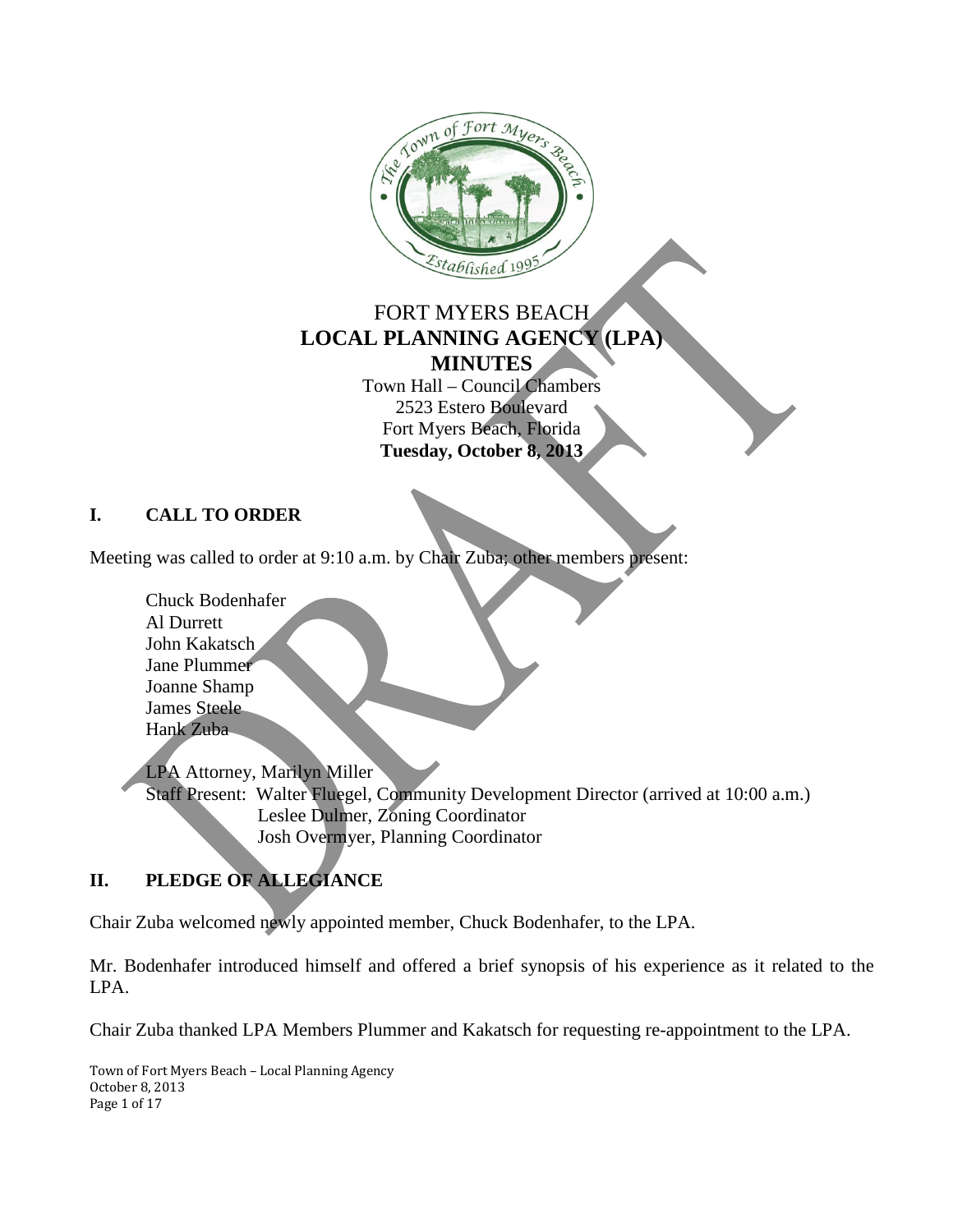

# FORT MYERS BEACH **LOCAL PLANNING AGENCY (LPA) MINUTES**

Town Hall – Council Chambers 2523 Estero Boulevard Fort Myers Beach, Florida **Tuesday, October 8, 2013**

## **I. CALL TO ORDER**

Meeting was called to order at 9:10 a.m. by Chair Zuba; other members present:

Chuck Bodenhafer Al Durrett John Kakatsch Jane Plummer Joanne Shamp James Steele Hank Zuba

LPA Attorney, Marilyn Miller Staff Present: Walter Fluegel, Community Development Director (arrived at 10:00 a.m.) Leslee Dulmer, Zoning Coordinator Josh Overmyer, Planning Coordinator

# **II. PLEDGE OF ALLEGIANCE**

Chair Zuba welcomed newly appointed member, Chuck Bodenhafer, to the LPA.

Mr. Bodenhafer introduced himself and offered a brief synopsis of his experience as it related to the LPA.

Chair Zuba thanked LPA Members Plummer and Kakatsch for requesting re-appointment to the LPA.

Town of Fort Myers Beach – Local Planning Agency October 8, 2013 Page 1 of 17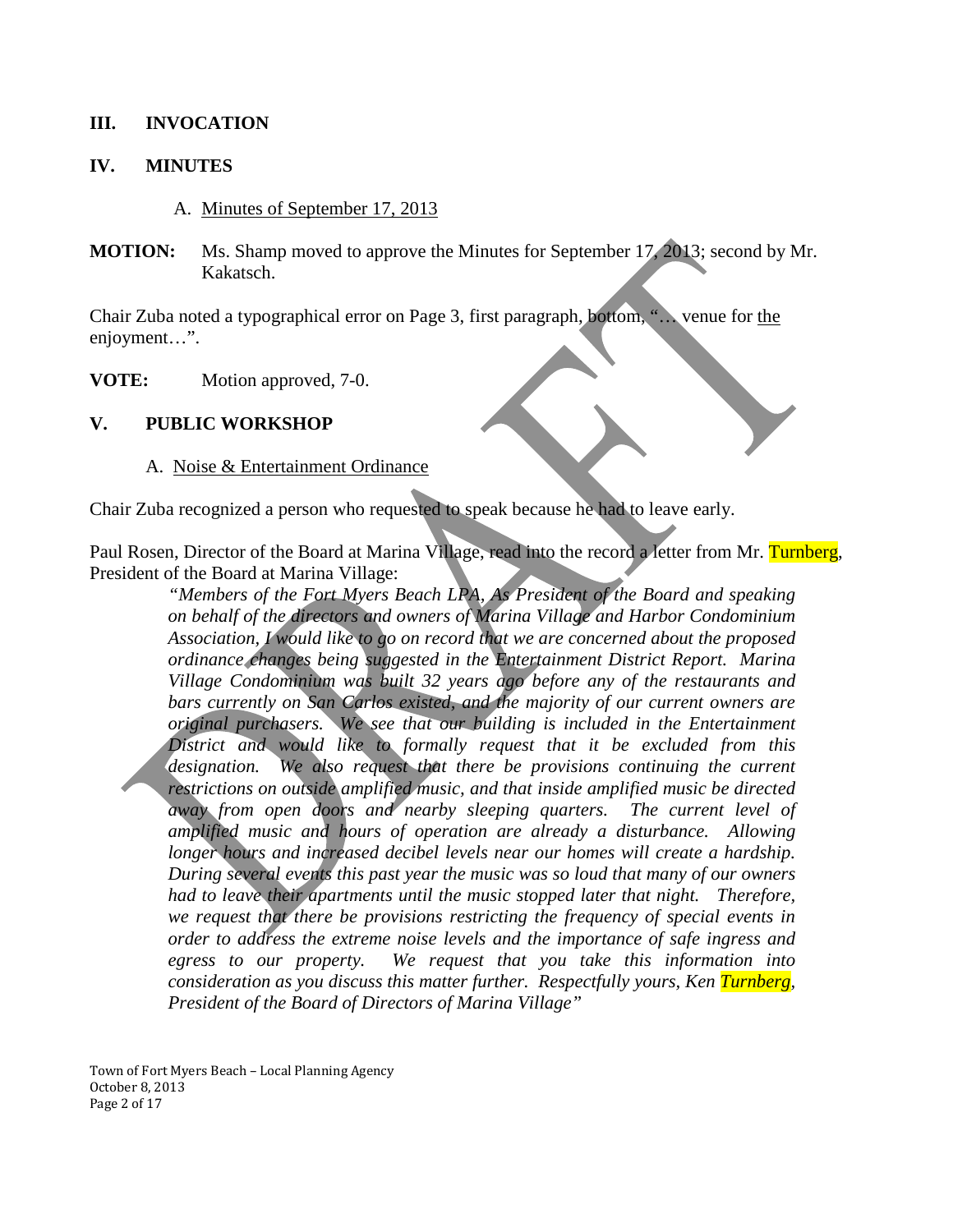### **III. INVOCATION**

### **IV. MINUTES**

A. Minutes of September 17, 2013

**MOTION:** Ms. Shamp moved to approve the Minutes for September 17, 2013; second by Mr. Kakatsch.

Chair Zuba noted a typographical error on Page 3, first paragraph, bottom, "… venue for the enjoyment…".

**VOTE:** Motion approved, 7-0.

### **V. PUBLIC WORKSHOP**

#### A. Noise & Entertainment Ordinance

Chair Zuba recognized a person who requested to speak because he had to leave early.

Paul Rosen, Director of the Board at Marina Village, read into the record a letter from Mr. Turnberg, President of the Board at Marina Village:

*"Members of the Fort Myers Beach LPA, As President of the Board and speaking on behalf of the directors and owners of Marina Village and Harbor Condominium Association, I would like to go on record that we are concerned about the proposed ordinance changes being suggested in the Entertainment District Report. Marina Village Condominium was built 32 years ago before any of the restaurants and bars currently on San Carlos existed, and the majority of our current owners are original purchasers. We see that our building is included in the Entertainment District and would like to formally request that it be excluded from this*  designation. We also request that there be provisions continuing the current *restrictions on outside amplified music, and that inside amplified music be directed away from open doors and nearby sleeping quarters. The current level of amplified music and hours of operation are already a disturbance. Allowing longer hours and increased decibel levels near our homes will create a hardship. During several events this past year the music was so loud that many of our owners had to leave their apartments until the music stopped later that night. Therefore, we request that there be provisions restricting the frequency of special events in order to address the extreme noise levels and the importance of safe ingress and egress to our property. We request that you take this information into consideration as you discuss this matter further. Respectfully yours, Ken Turnberg, President of the Board of Directors of Marina Village"*

Town of Fort Myers Beach – Local Planning Agency October 8, 2013 Page 2 of 17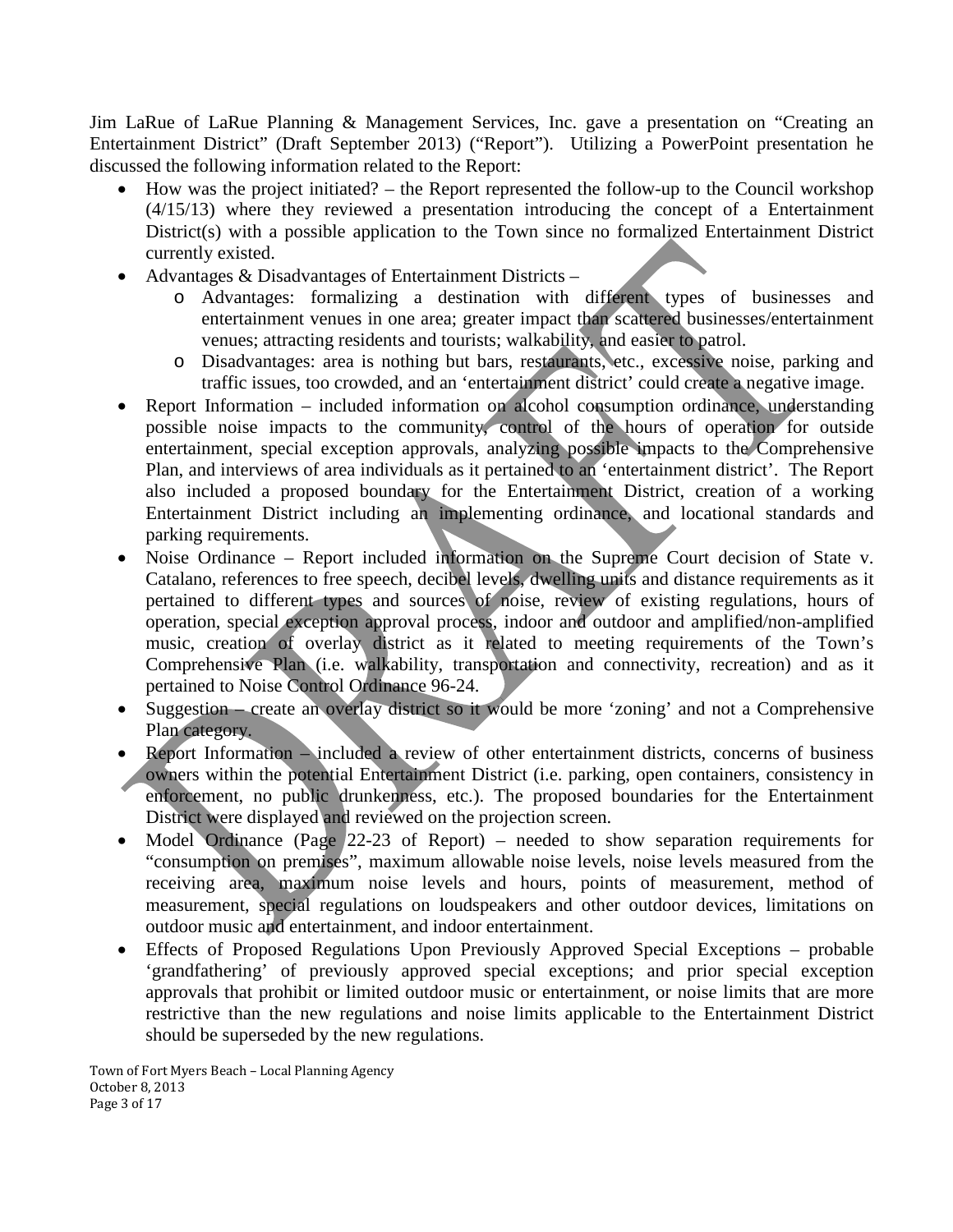Jim LaRue of LaRue Planning & Management Services, Inc. gave a presentation on "Creating an Entertainment District" (Draft September 2013) ("Report"). Utilizing a PowerPoint presentation he discussed the following information related to the Report:

- How was the project initiated? the Report represented the follow-up to the Council workshop (4/15/13) where they reviewed a presentation introducing the concept of a Entertainment District(s) with a possible application to the Town since no formalized Entertainment District currently existed.
- Advantages & Disadvantages of Entertainment Districts
	- o Advantages: formalizing a destination with different types of businesses and entertainment venues in one area; greater impact than scattered businesses/entertainment venues; attracting residents and tourists; walkability, and easier to patrol.
	- o Disadvantages: area is nothing but bars, restaurants, etc., excessive noise, parking and traffic issues, too crowded, and an 'entertainment district' could create a negative image.
- Report Information included information on alcohol consumption ordinance, understanding possible noise impacts to the community, control of the hours of operation for outside entertainment, special exception approvals, analyzing possible impacts to the Comprehensive Plan, and interviews of area individuals as it pertained to an 'entertainment district'. The Report also included a proposed boundary for the Entertainment District, creation of a working Entertainment District including an implementing ordinance, and locational standards and parking requirements.
- Noise Ordinance Report included information on the Supreme Court decision of State v. Catalano, references to free speech, decibel levels, dwelling units and distance requirements as it pertained to different types and sources of noise, review of existing regulations, hours of operation, special exception approval process, indoor and outdoor and amplified/non-amplified music, creation of overlay district as it related to meeting requirements of the Town's Comprehensive Plan (i.e. walkability, transportation and connectivity, recreation) and as it pertained to Noise Control Ordinance 96-24.
- Suggestion create an overlay district so it would be more 'zoning' and not a Comprehensive Plan category.
- Report Information included a review of other entertainment districts, concerns of business owners within the potential Entertainment District (i.e. parking, open containers, consistency in enforcement, no public drunkenness, etc.). The proposed boundaries for the Entertainment District were displayed and reviewed on the projection screen.
- Model Ordinance (Page 22-23 of Report) needed to show separation requirements for "consumption on premises", maximum allowable noise levels, noise levels measured from the receiving area, maximum noise levels and hours, points of measurement, method of measurement, special regulations on loudspeakers and other outdoor devices, limitations on outdoor music and entertainment, and indoor entertainment.
- Effects of Proposed Regulations Upon Previously Approved Special Exceptions probable 'grandfathering' of previously approved special exceptions; and prior special exception approvals that prohibit or limited outdoor music or entertainment, or noise limits that are more restrictive than the new regulations and noise limits applicable to the Entertainment District should be superseded by the new regulations.

Town of Fort Myers Beach – Local Planning Agency October 8, 2013 Page 3 of 17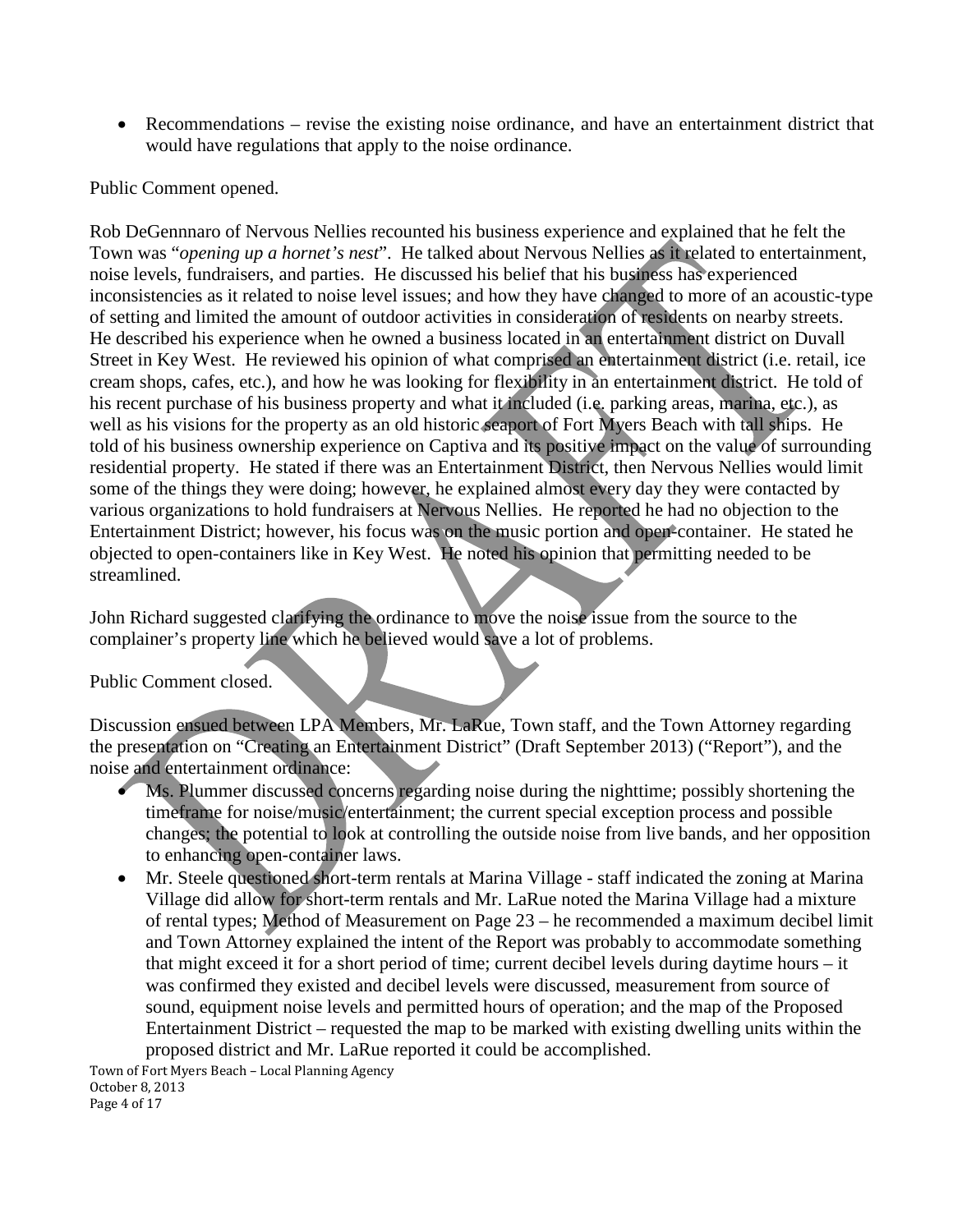• Recommendations – revise the existing noise ordinance, and have an entertainment district that would have regulations that apply to the noise ordinance.

### Public Comment opened.

Rob DeGennnaro of Nervous Nellies recounted his business experience and explained that he felt the Town was "*opening up a hornet's nest*". He talked about Nervous Nellies as it related to entertainment, noise levels, fundraisers, and parties. He discussed his belief that his business has experienced inconsistencies as it related to noise level issues; and how they have changed to more of an acoustic-type of setting and limited the amount of outdoor activities in consideration of residents on nearby streets. He described his experience when he owned a business located in an entertainment district on Duvall Street in Key West. He reviewed his opinion of what comprised an entertainment district (i.e. retail, ice cream shops, cafes, etc.), and how he was looking for flexibility in an entertainment district. He told of his recent purchase of his business property and what it included (i.e. parking areas, marina, etc.), as well as his visions for the property as an old historic seaport of Fort Myers Beach with tall ships. He told of his business ownership experience on Captiva and its positive impact on the value of surrounding residential property. He stated if there was an Entertainment District, then Nervous Nellies would limit some of the things they were doing; however, he explained almost every day they were contacted by various organizations to hold fundraisers at Nervous Nellies. He reported he had no objection to the Entertainment District; however, his focus was on the music portion and open-container. He stated he objected to open-containers like in Key West. He noted his opinion that permitting needed to be streamlined.

John Richard suggested clarifying the ordinance to move the noise issue from the source to the complainer's property line which he believed would save a lot of problems.

#### Public Comment closed.

Discussion ensued between LPA Members, Mr. LaRue, Town staff, and the Town Attorney regarding the presentation on "Creating an Entertainment District" (Draft September 2013) ("Report"), and the noise and entertainment ordinance:

- Ms. Plummer discussed concerns regarding noise during the nighttime; possibly shortening the timeframe for noise/music/entertainment; the current special exception process and possible changes; the potential to look at controlling the outside noise from live bands, and her opposition to enhancing open-container laws.
- Mr. Steele questioned short-term rentals at Marina Village staff indicated the zoning at Marina Village did allow for short-term rentals and Mr. LaRue noted the Marina Village had a mixture of rental types; Method of Measurement on Page 23 – he recommended a maximum decibel limit and Town Attorney explained the intent of the Report was probably to accommodate something that might exceed it for a short period of time; current decibel levels during daytime hours – it was confirmed they existed and decibel levels were discussed, measurement from source of sound, equipment noise levels and permitted hours of operation; and the map of the Proposed Entertainment District – requested the map to be marked with existing dwelling units within the proposed district and Mr. LaRue reported it could be accomplished.

Town of Fort Myers Beach – Local Planning Agency October 8, 2013 Page 4 of 17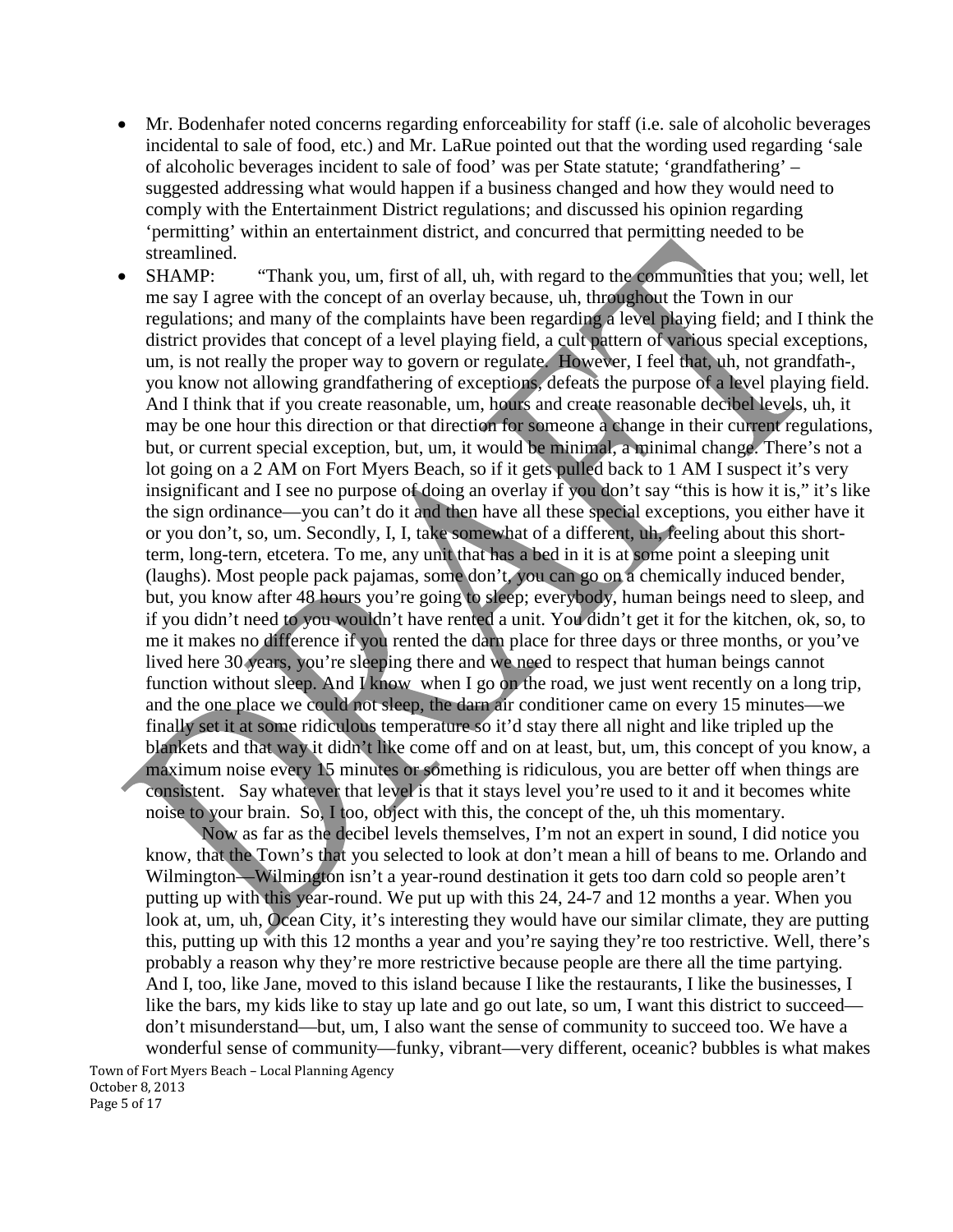- Mr. Bodenhafer noted concerns regarding enforceability for staff (i.e. sale of alcoholic beverages incidental to sale of food, etc.) and Mr. LaRue pointed out that the wording used regarding 'sale of alcoholic beverages incident to sale of food' was per State statute; 'grandfathering' – suggested addressing what would happen if a business changed and how they would need to comply with the Entertainment District regulations; and discussed his opinion regarding 'permitting' within an entertainment district, and concurred that permitting needed to be streamlined.
- SHAMP: "Thank you, um, first of all, uh, with regard to the communities that you; well, let me say I agree with the concept of an overlay because, uh, throughout the Town in our regulations; and many of the complaints have been regarding a level playing field; and I think the district provides that concept of a level playing field, a cult pattern of various special exceptions, um, is not really the proper way to govern or regulate. However, I feel that, uh, not grandfath-, you know not allowing grandfathering of exceptions, defeats the purpose of a level playing field. And I think that if you create reasonable, um, hours and create reasonable decibel levels, uh, it may be one hour this direction or that direction for someone a change in their current regulations, but, or current special exception, but, um, it would be minimal, a minimal change. There's not a lot going on a 2 AM on Fort Myers Beach, so if it gets pulled back to 1 AM I suspect it's very insignificant and I see no purpose of doing an overlay if you don't say "this is how it is," it's like the sign ordinance—you can't do it and then have all these special exceptions, you either have it or you don't, so, um. Secondly, I, I, take somewhat of a different, uh, feeling about this shortterm, long-tern, etcetera. To me, any unit that has a bed in it is at some point a sleeping unit (laughs). Most people pack pajamas, some don't, you can go on a chemically induced bender, but, you know after 48 hours you're going to sleep; everybody, human beings need to sleep, and if you didn't need to you wouldn't have rented a unit. You didn't get it for the kitchen, ok, so, to me it makes no difference if you rented the darn place for three days or three months, or you've lived here 30 years, you're sleeping there and we need to respect that human beings cannot function without sleep. And I know when I go on the road, we just went recently on a long trip, and the one place we could not sleep, the darn air conditioner came on every 15 minutes—we finally set it at some ridiculous temperature so it'd stay there all night and like tripled up the blankets and that way it didn't like come off and on at least, but, um, this concept of you know, a maximum noise every 15 minutes or something is ridiculous, you are better off when things are consistent. Say whatever that level is that it stays level you're used to it and it becomes white noise to your brain. So, I too, object with this, the concept of the, uh this momentary.

Now as far as the decibel levels themselves, I'm not an expert in sound, I did notice you know, that the Town's that you selected to look at don't mean a hill of beans to me. Orlando and Wilmington—Wilmington isn't a year-round destination it gets too darn cold so people aren't putting up with this year-round. We put up with this 24, 24-7 and 12 months a year. When you look at, um, uh, Ocean City, it's interesting they would have our similar climate, they are putting this, putting up with this 12 months a year and you're saying they're too restrictive. Well, there's probably a reason why they're more restrictive because people are there all the time partying. And I, too, like Jane, moved to this island because I like the restaurants, I like the businesses, I like the bars, my kids like to stay up late and go out late, so um, I want this district to succeed don't misunderstand—but, um, I also want the sense of community to succeed too. We have a wonderful sense of community—funky, vibrant—very different, oceanic? bubbles is what makes

Town of Fort Myers Beach – Local Planning Agency October 8, 2013 Page 5 of 17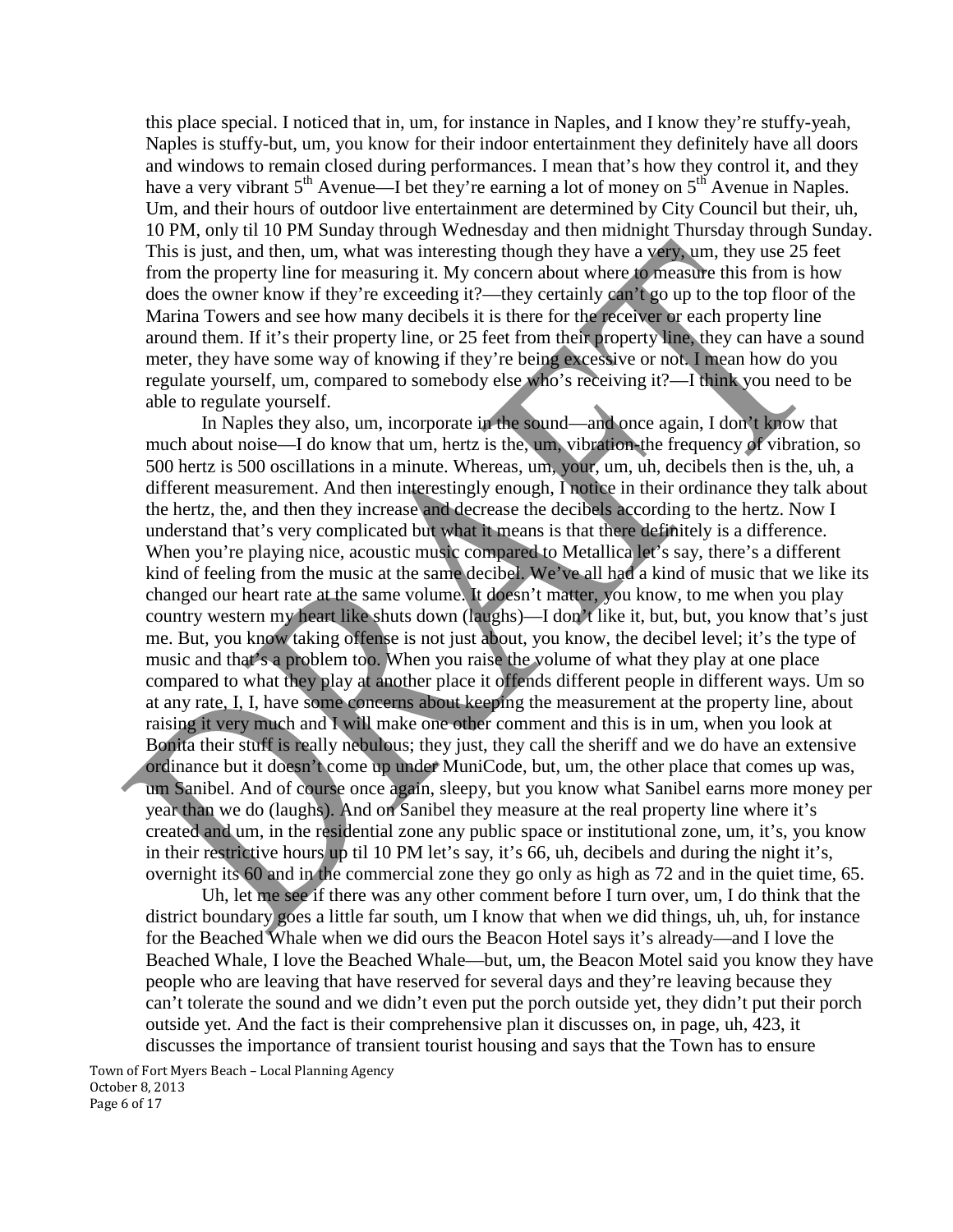this place special. I noticed that in, um, for instance in Naples, and I know they're stuffy-yeah, Naples is stuffy-but, um, you know for their indoor entertainment they definitely have all doors and windows to remain closed during performances. I mean that's how they control it, and they have a very vibrant  $5<sup>th</sup>$  Avenue—I bet they're earning a lot of money on  $5<sup>th</sup>$  Avenue in Naples. Um, and their hours of outdoor live entertainment are determined by City Council but their, uh, 10 PM, only til 10 PM Sunday through Wednesday and then midnight Thursday through Sunday. This is just, and then, um, what was interesting though they have a very, um, they use 25 feet from the property line for measuring it. My concern about where to measure this from is how does the owner know if they're exceeding it?—they certainly can't go up to the top floor of the Marina Towers and see how many decibels it is there for the receiver or each property line around them. If it's their property line, or 25 feet from their property line, they can have a sound meter, they have some way of knowing if they're being excessive or not. I mean how do you regulate yourself, um, compared to somebody else who's receiving it?—I think you need to be able to regulate yourself.

In Naples they also, um, incorporate in the sound—and once again, I don't know that much about noise—I do know that um, hertz is the, um, vibration-the frequency of vibration, so 500 hertz is 500 oscillations in a minute. Whereas, um, your, um, uh, decibels then is the, uh, a different measurement. And then interestingly enough, I notice in their ordinance they talk about the hertz, the, and then they increase and decrease the decibels according to the hertz. Now I understand that's very complicated but what it means is that there definitely is a difference. When you're playing nice, acoustic music compared to Metallica let's say, there's a different kind of feeling from the music at the same decibel. We've all had a kind of music that we like its changed our heart rate at the same volume. It doesn't matter, you know, to me when you play country western my heart like shuts down (laughs)—I don't like it, but, but, you know that's just me. But, you know taking offense is not just about, you know, the decibel level; it's the type of music and that's a problem too. When you raise the volume of what they play at one place compared to what they play at another place it offends different people in different ways. Um so at any rate, I, I, have some concerns about keeping the measurement at the property line, about raising it very much and I will make one other comment and this is in um, when you look at Bonita their stuff is really nebulous; they just, they call the sheriff and we do have an extensive ordinance but it doesn't come up under MuniCode, but, um, the other place that comes up was, um Sanibel. And of course once again, sleepy, but you know what Sanibel earns more money per year than we do (laughs). And on Sanibel they measure at the real property line where it's created and um, in the residential zone any public space or institutional zone, um, it's, you know in their restrictive hours up til 10 PM let's say, it's 66, uh, decibels and during the night it's, overnight its 60 and in the commercial zone they go only as high as 72 and in the quiet time, 65.

Uh, let me see if there was any other comment before I turn over, um, I do think that the district boundary goes a little far south, um I know that when we did things, uh, uh, for instance for the Beached Whale when we did ours the Beacon Hotel says it's already—and I love the Beached Whale, I love the Beached Whale—but, um, the Beacon Motel said you know they have people who are leaving that have reserved for several days and they're leaving because they can't tolerate the sound and we didn't even put the porch outside yet, they didn't put their porch outside yet. And the fact is their comprehensive plan it discusses on, in page, uh, 423, it discusses the importance of transient tourist housing and says that the Town has to ensure

Town of Fort Myers Beach – Local Planning Agency October 8, 2013 Page 6 of 17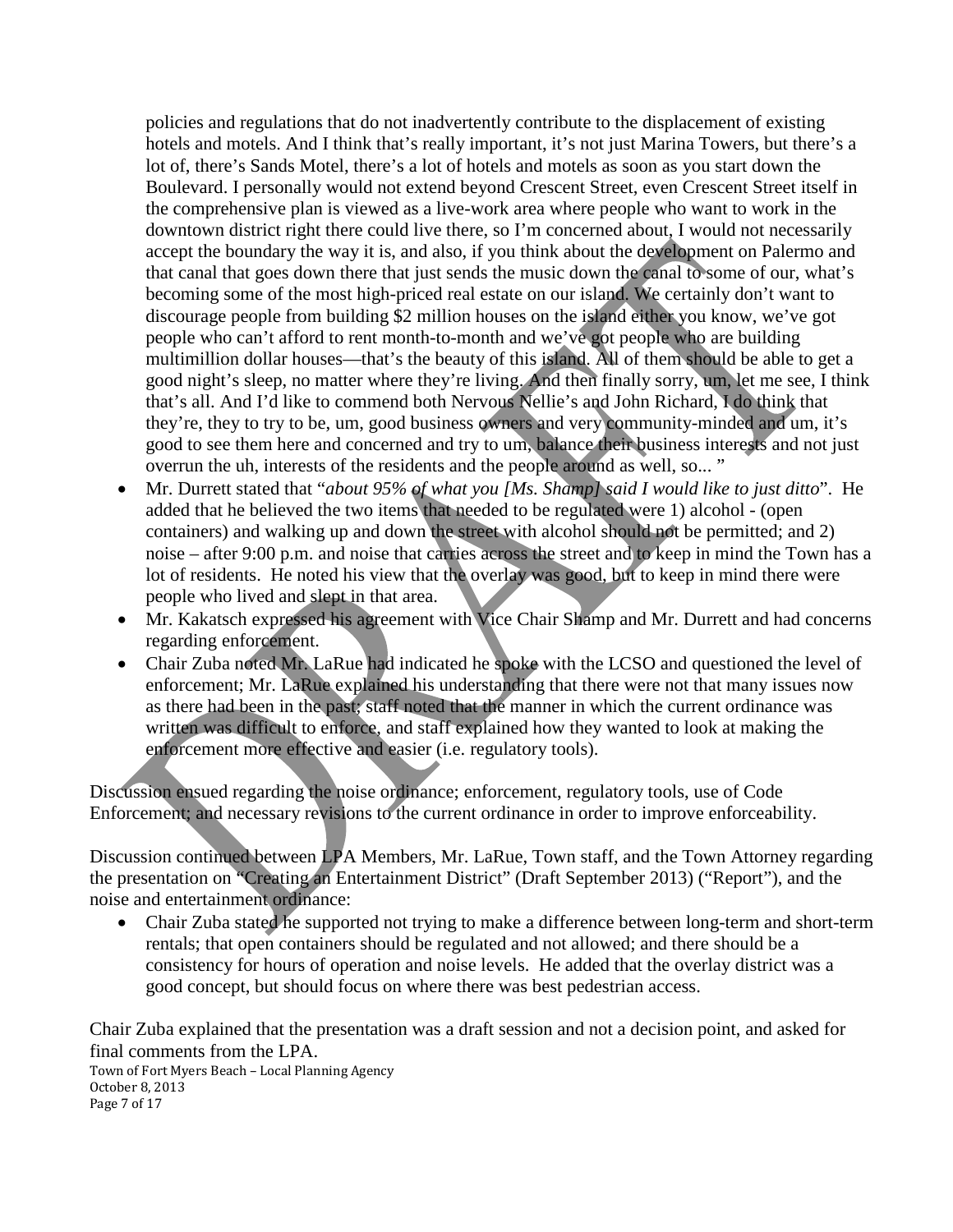policies and regulations that do not inadvertently contribute to the displacement of existing hotels and motels. And I think that's really important, it's not just Marina Towers, but there's a lot of, there's Sands Motel, there's a lot of hotels and motels as soon as you start down the Boulevard. I personally would not extend beyond Crescent Street, even Crescent Street itself in the comprehensive plan is viewed as a live-work area where people who want to work in the downtown district right there could live there, so I'm concerned about, I would not necessarily accept the boundary the way it is, and also, if you think about the development on Palermo and that canal that goes down there that just sends the music down the canal to some of our, what's becoming some of the most high-priced real estate on our island. We certainly don't want to discourage people from building \$2 million houses on the island either you know, we've got people who can't afford to rent month-to-month and we've got people who are building multimillion dollar houses—that's the beauty of this island. All of them should be able to get a good night's sleep, no matter where they're living. And then finally sorry, um, let me see, I think that's all. And I'd like to commend both Nervous Nellie's and John Richard, I do think that they're, they to try to be, um, good business owners and very community-minded and um, it's good to see them here and concerned and try to um, balance their business interests and not just overrun the uh, interests of the residents and the people around as well, so... "

- Mr. Durrett stated that "*about 95% of what you [Ms. Shamp] said I would like to just ditto*". He added that he believed the two items that needed to be regulated were 1) alcohol - (open containers) and walking up and down the street with alcohol should not be permitted; and 2) noise – after 9:00 p.m. and noise that carries across the street and to keep in mind the Town has a lot of residents. He noted his view that the overlay was good, but to keep in mind there were people who lived and slept in that area.
- Mr. Kakatsch expressed his agreement with Vice Chair Shamp and Mr. Durrett and had concerns regarding enforcement.
- Chair Zuba noted Mr. LaRue had indicated he spoke with the LCSO and questioned the level of enforcement; Mr. LaRue explained his understanding that there were not that many issues now as there had been in the past; staff noted that the manner in which the current ordinance was written was difficult to enforce, and staff explained how they wanted to look at making the enforcement more effective and easier (i.e. regulatory tools).

Discussion ensued regarding the noise ordinance; enforcement, regulatory tools, use of Code Enforcement; and necessary revisions to the current ordinance in order to improve enforceability.

Discussion continued between LPA Members, Mr. LaRue, Town staff, and the Town Attorney regarding the presentation on "Creating an Entertainment District" (Draft September 2013) ("Report"), and the noise and entertainment ordinance:

• Chair Zuba stated he supported not trying to make a difference between long-term and short-term rentals; that open containers should be regulated and not allowed; and there should be a consistency for hours of operation and noise levels. He added that the overlay district was a good concept, but should focus on where there was best pedestrian access.

Chair Zuba explained that the presentation was a draft session and not a decision point, and asked for final comments from the LPA.

Town of Fort Myers Beach – Local Planning Agency October 8, 2013 Page 7 of 17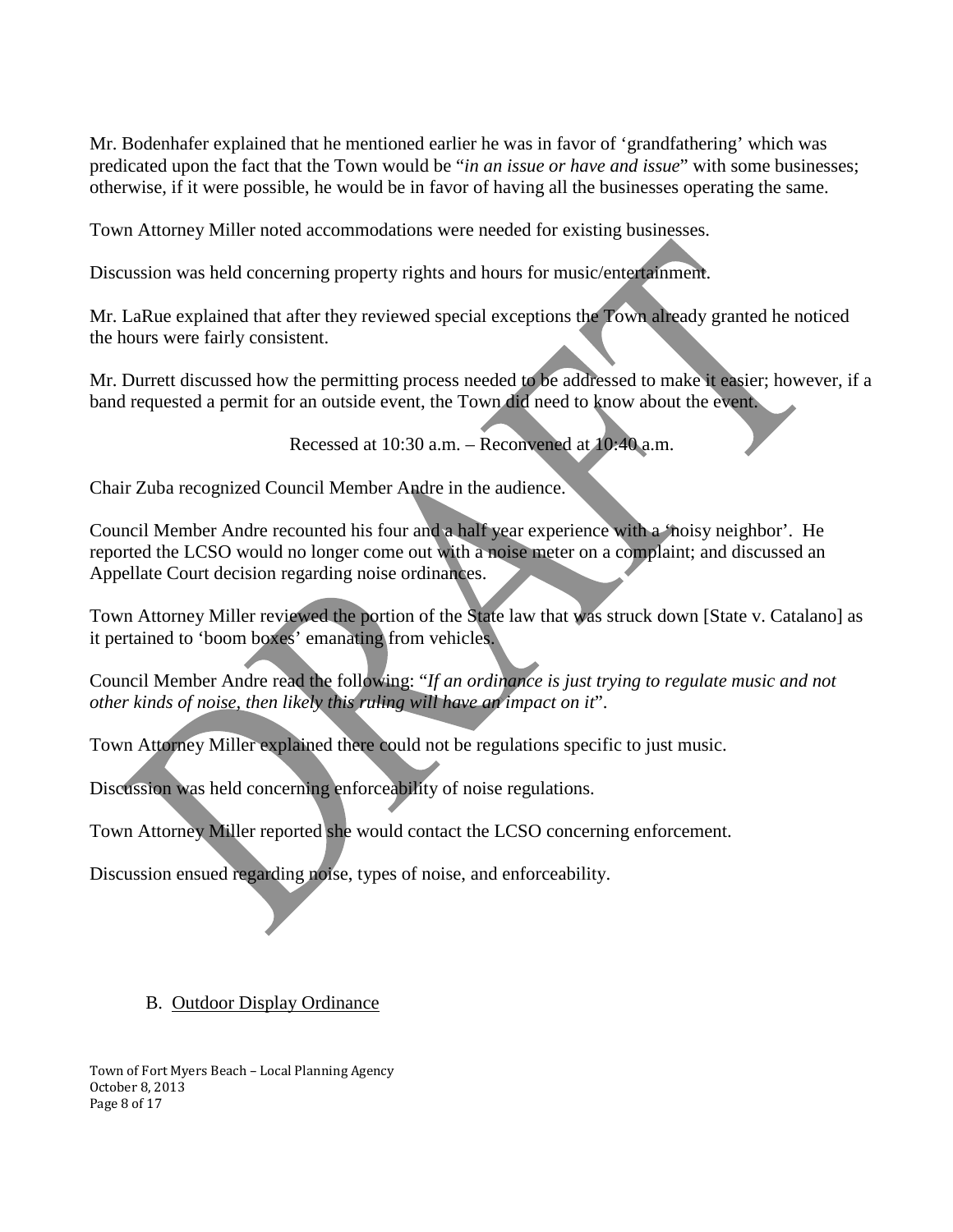Mr. Bodenhafer explained that he mentioned earlier he was in favor of 'grandfathering' which was predicated upon the fact that the Town would be "*in an issue or have and issue*" with some businesses; otherwise, if it were possible, he would be in favor of having all the businesses operating the same.

Town Attorney Miller noted accommodations were needed for existing businesses.

Discussion was held concerning property rights and hours for music/entertainment.

Mr. LaRue explained that after they reviewed special exceptions the Town already granted he noticed the hours were fairly consistent.

Mr. Durrett discussed how the permitting process needed to be addressed to make it easier; however, if a band requested a permit for an outside event, the Town did need to know about the event.

Recessed at 10:30 a.m. – Reconvened at 10:40 a.m.

Chair Zuba recognized Council Member Andre in the audience.

Council Member Andre recounted his four and a half year experience with a 'noisy neighbor'. He reported the LCSO would no longer come out with a noise meter on a complaint; and discussed an Appellate Court decision regarding noise ordinances.

Town Attorney Miller reviewed the portion of the State law that was struck down [State v. Catalano] as it pertained to 'boom boxes' emanating from vehicles.

Council Member Andre read the following: "*If an ordinance is just trying to regulate music and not other kinds of noise, then likely this ruling will have an impact on it*".

Town Attorney Miller explained there could not be regulations specific to just music.

Discussion was held concerning enforceability of noise regulations.

Town Attorney Miller reported she would contact the LCSO concerning enforcement.

Discussion ensued regarding noise, types of noise, and enforceability.

## B. Outdoor Display Ordinance

Town of Fort Myers Beach – Local Planning Agency October 8, 2013 Page 8 of 17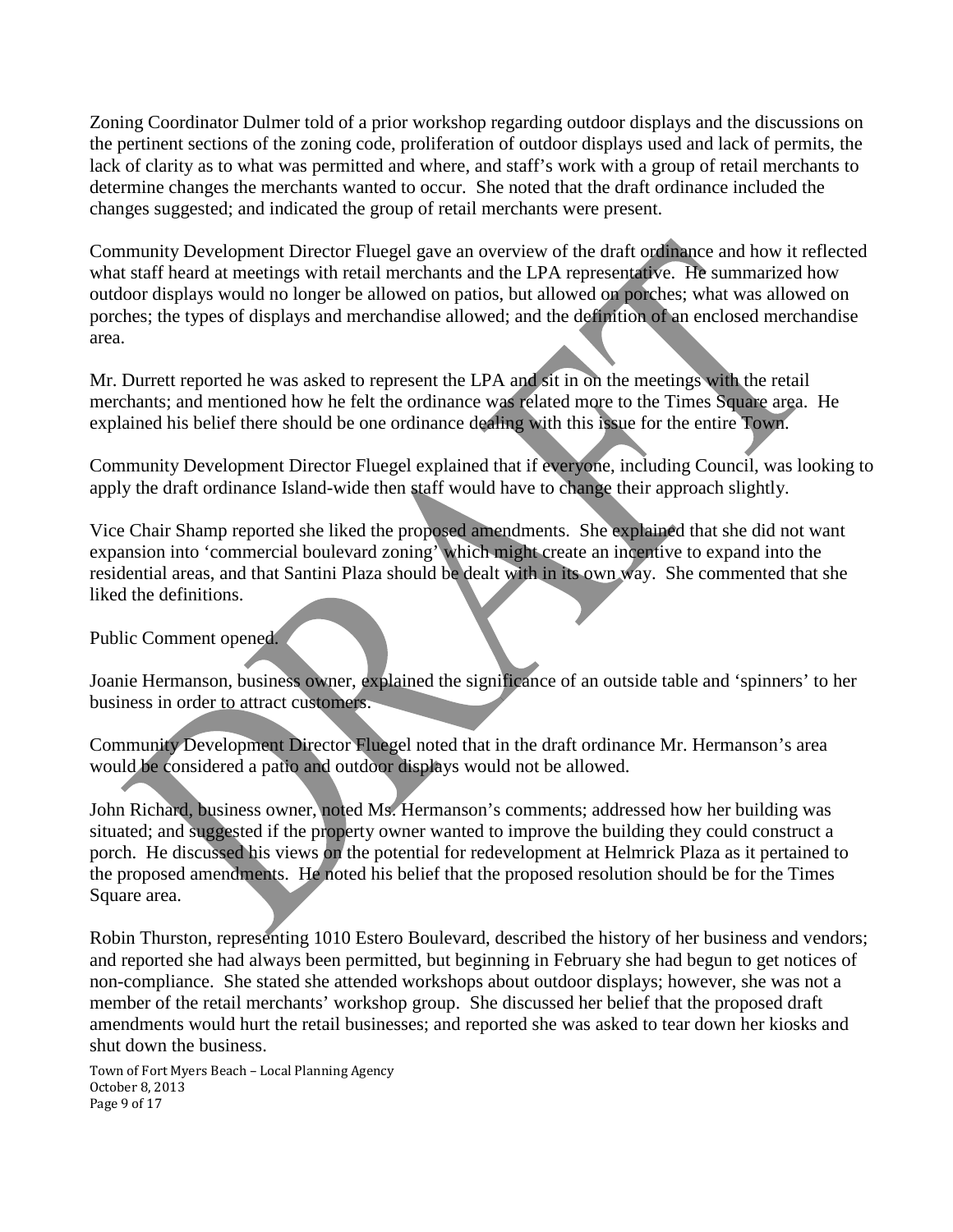Zoning Coordinator Dulmer told of a prior workshop regarding outdoor displays and the discussions on the pertinent sections of the zoning code, proliferation of outdoor displays used and lack of permits, the lack of clarity as to what was permitted and where, and staff's work with a group of retail merchants to determine changes the merchants wanted to occur. She noted that the draft ordinance included the changes suggested; and indicated the group of retail merchants were present.

Community Development Director Fluegel gave an overview of the draft ordinance and how it reflected what staff heard at meetings with retail merchants and the LPA representative. He summarized how outdoor displays would no longer be allowed on patios, but allowed on porches; what was allowed on porches; the types of displays and merchandise allowed; and the definition of an enclosed merchandise area.

Mr. Durrett reported he was asked to represent the LPA and sit in on the meetings with the retail merchants; and mentioned how he felt the ordinance was related more to the Times Square area. He explained his belief there should be one ordinance dealing with this issue for the entire Town.

Community Development Director Fluegel explained that if everyone, including Council, was looking to apply the draft ordinance Island-wide then staff would have to change their approach slightly.

Vice Chair Shamp reported she liked the proposed amendments. She explained that she did not want expansion into 'commercial boulevard zoning' which might create an incentive to expand into the residential areas, and that Santini Plaza should be dealt with in its own way. She commented that she liked the definitions.

## Public Comment opened.

Joanie Hermanson, business owner, explained the significance of an outside table and 'spinners' to her business in order to attract customers.

Community Development Director Fluegel noted that in the draft ordinance Mr. Hermanson's area would be considered a patio and outdoor displays would not be allowed.

John Richard, business owner, noted Ms. Hermanson's comments; addressed how her building was situated; and suggested if the property owner wanted to improve the building they could construct a porch. He discussed his views on the potential for redevelopment at Helmrick Plaza as it pertained to the proposed amendments. He noted his belief that the proposed resolution should be for the Times Square area.

Robin Thurston, representing 1010 Estero Boulevard, described the history of her business and vendors; and reported she had always been permitted, but beginning in February she had begun to get notices of non-compliance. She stated she attended workshops about outdoor displays; however, she was not a member of the retail merchants' workshop group. She discussed her belief that the proposed draft amendments would hurt the retail businesses; and reported she was asked to tear down her kiosks and shut down the business.

Town of Fort Myers Beach – Local Planning Agency October 8, 2013 Page 9 of 17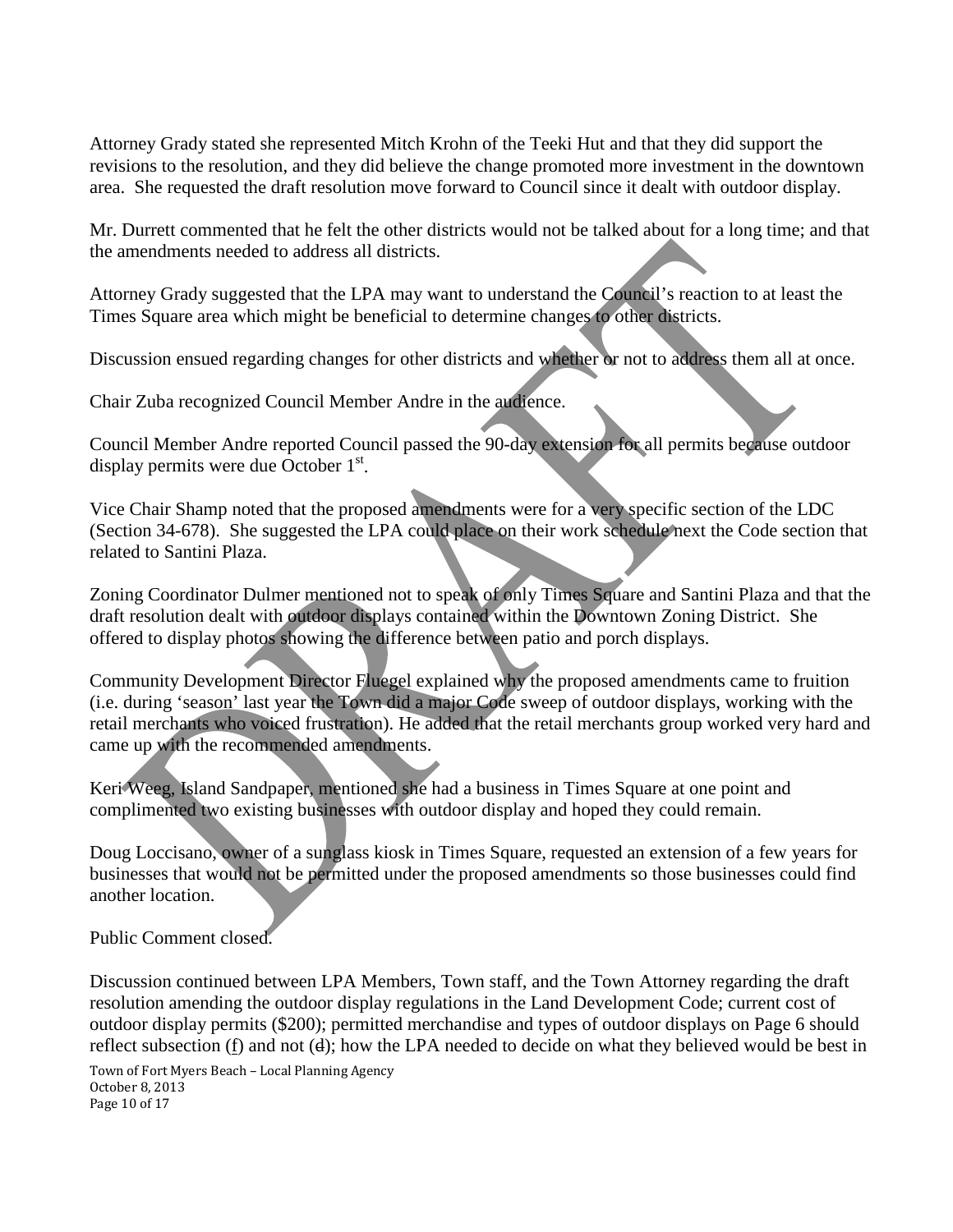Attorney Grady stated she represented Mitch Krohn of the Teeki Hut and that they did support the revisions to the resolution, and they did believe the change promoted more investment in the downtown area. She requested the draft resolution move forward to Council since it dealt with outdoor display.

Mr. Durrett commented that he felt the other districts would not be talked about for a long time; and that the amendments needed to address all districts.

Attorney Grady suggested that the LPA may want to understand the Council's reaction to at least the Times Square area which might be beneficial to determine changes to other districts.

Discussion ensued regarding changes for other districts and whether or not to address them all at once.

Chair Zuba recognized Council Member Andre in the audience.

Council Member Andre reported Council passed the 90-day extension for all permits because outdoor display permits were due October  $1<sup>st</sup>$ .

Vice Chair Shamp noted that the proposed amendments were for a very specific section of the LDC (Section 34-678). She suggested the LPA could place on their work schedule next the Code section that related to Santini Plaza.

Zoning Coordinator Dulmer mentioned not to speak of only Times Square and Santini Plaza and that the draft resolution dealt with outdoor displays contained within the Downtown Zoning District. She offered to display photos showing the difference between patio and porch displays.

Community Development Director Fluegel explained why the proposed amendments came to fruition (i.e. during 'season' last year the Town did a major Code sweep of outdoor displays, working with the retail merchants who voiced frustration). He added that the retail merchants group worked very hard and came up with the recommended amendments.

Keri Weeg, Island Sandpaper, mentioned she had a business in Times Square at one point and complimented two existing businesses with outdoor display and hoped they could remain.

Doug Loccisano, owner of a sunglass kiosk in Times Square, requested an extension of a few years for businesses that would not be permitted under the proposed amendments so those businesses could find another location.

Public Comment closed.

Discussion continued between LPA Members, Town staff, and the Town Attorney regarding the draft resolution amending the outdoor display regulations in the Land Development Code; current cost of outdoor display permits (\$200); permitted merchandise and types of outdoor displays on Page 6 should reflect subsection (f) and not (d); how the LPA needed to decide on what they believed would be best in

Town of Fort Myers Beach – Local Planning Agency October 8, 2013 Page 10 of 17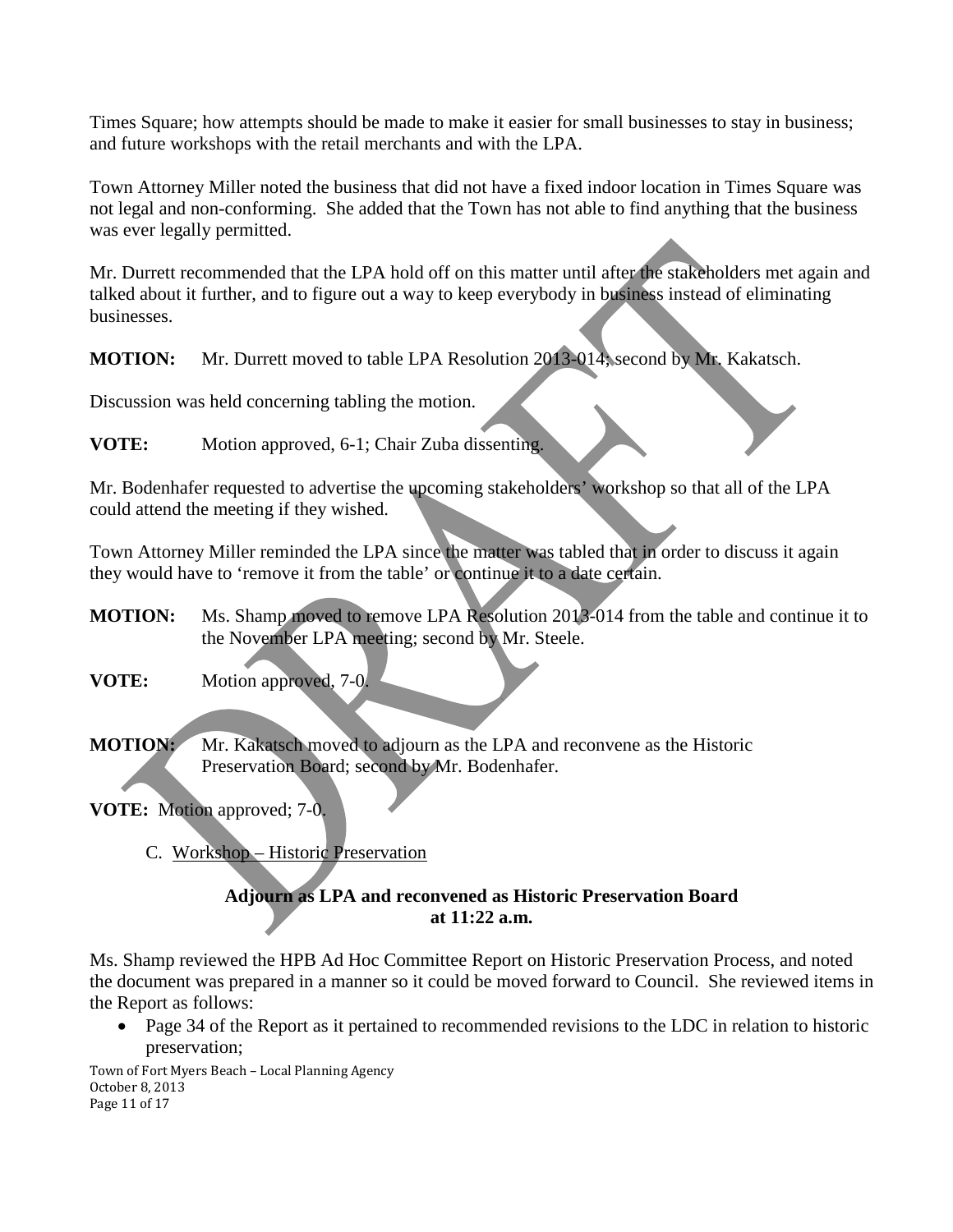Times Square; how attempts should be made to make it easier for small businesses to stay in business; and future workshops with the retail merchants and with the LPA.

Town Attorney Miller noted the business that did not have a fixed indoor location in Times Square was not legal and non-conforming. She added that the Town has not able to find anything that the business was ever legally permitted.

Mr. Durrett recommended that the LPA hold off on this matter until after the stakeholders met again and talked about it further, and to figure out a way to keep everybody in business instead of eliminating businesses.

**MOTION:** Mr. Durrett moved to table LPA Resolution 2013-014; second by Mr. Kakatsch.

Discussion was held concerning tabling the motion.

**VOTE:** Motion approved, 6-1; Chair Zuba dissenting.

Mr. Bodenhafer requested to advertise the upcoming stakeholders' workshop so that all of the LPA could attend the meeting if they wished.

Town Attorney Miller reminded the LPA since the matter was tabled that in order to discuss it again they would have to 'remove it from the table' or continue it to a date certain.

**MOTION:** Ms. Shamp moved to remove LPA Resolution 2013-014 from the table and continue it to the November LPA meeting; second by Mr. Steele.

**VOTE:** Motion approved, 7-0.

**MOTION:** Mr. Kakatsch moved to adjourn as the LPA and reconvene as the Historic Preservation Board; second by Mr. Bodenhafer.

**VOTE:** Motion approved; 7-0.

C. Workshop – Historic Preservation

## **Adjourn as LPA and reconvened as Historic Preservation Board at 11:22 a.m.**

Ms. Shamp reviewed the HPB Ad Hoc Committee Report on Historic Preservation Process, and noted the document was prepared in a manner so it could be moved forward to Council. She reviewed items in the Report as follows:

• Page 34 of the Report as it pertained to recommended revisions to the LDC in relation to historic preservation;

Town of Fort Myers Beach – Local Planning Agency October 8, 2013 Page 11 of 17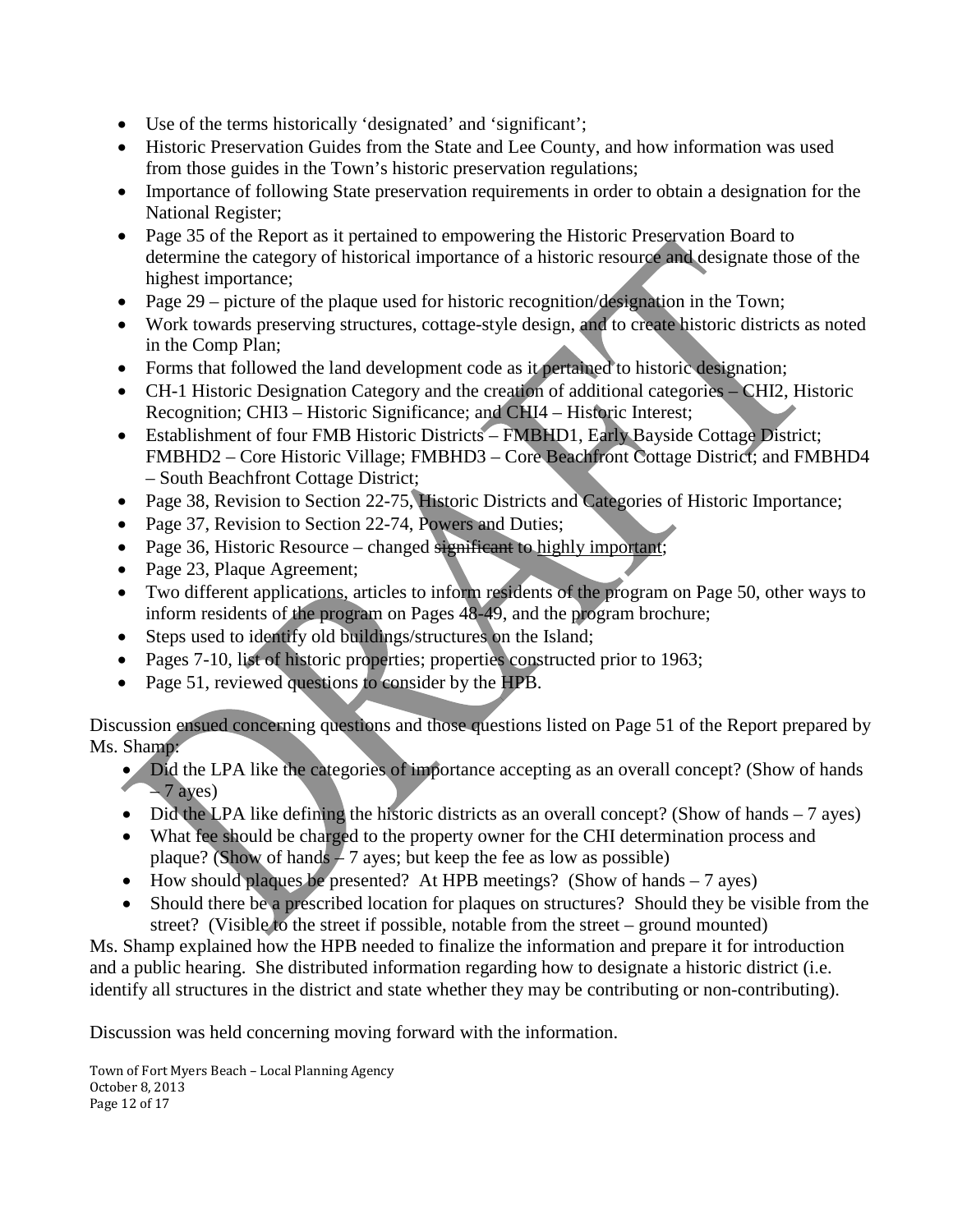- Use of the terms historically 'designated' and 'significant';
- Historic Preservation Guides from the State and Lee County, and how information was used from those guides in the Town's historic preservation regulations;
- Importance of following State preservation requirements in order to obtain a designation for the National Register;
- Page 35 of the Report as it pertained to empowering the Historic Preservation Board to determine the category of historical importance of a historic resource and designate those of the highest importance;
- Page 29 picture of the plaque used for historic recognition/designation in the Town;
- Work towards preserving structures, cottage-style design, and to create historic districts as noted in the Comp Plan;
- Forms that followed the land development code as it pertained to historic designation;
- CH-1 Historic Designation Category and the creation of additional categories CHI2, Historic Recognition; CHI3 – Historic Significance; and CHI4 – Historic Interest;
- Establishment of four FMB Historic Districts FMBHD1, Early Bayside Cottage District; FMBHD2 – Core Historic Village; FMBHD3 – Core Beachfront Cottage District; and FMBHD4 – South Beachfront Cottage District;
- Page 38, Revision to Section 22-75, Historic Districts and Categories of Historic Importance;
- Page 37, Revision to Section 22-74, Powers and Duties;
- Page 36, Historic Resource changed significant to highly important;
- Page 23, Plaque Agreement;
- Two different applications, articles to inform residents of the program on Page 50, other ways to inform residents of the program on Pages 48-49, and the program brochure;
- Steps used to identify old buildings/structures on the Island;
- Pages 7-10, list of historic properties; properties constructed prior to 1963;
- Page 51, reviewed questions to consider by the HPB.

Discussion ensued concerning questions and those questions listed on Page 51 of the Report prepared by Ms. Shamp:

- Did the LPA like the categories of importance accepting as an overall concept? (Show of hands  $-7$  ayes)
- Did the LPA like defining the historic districts as an overall concept? (Show of hands  $-7$  ayes)
- What fee should be charged to the property owner for the CHI determination process and plaque? (Show of hands  $-7$  ayes; but keep the fee as low as possible)
- How should plaques be presented? At HPB meetings? (Show of hands 7 ayes)
- Should there be a prescribed location for plaques on structures? Should they be visible from the street? (Visible to the street if possible, notable from the street – ground mounted)

Ms. Shamp explained how the HPB needed to finalize the information and prepare it for introduction and a public hearing. She distributed information regarding how to designate a historic district (i.e. identify all structures in the district and state whether they may be contributing or non-contributing).

Discussion was held concerning moving forward with the information.

Town of Fort Myers Beach – Local Planning Agency October 8, 2013 Page 12 of 17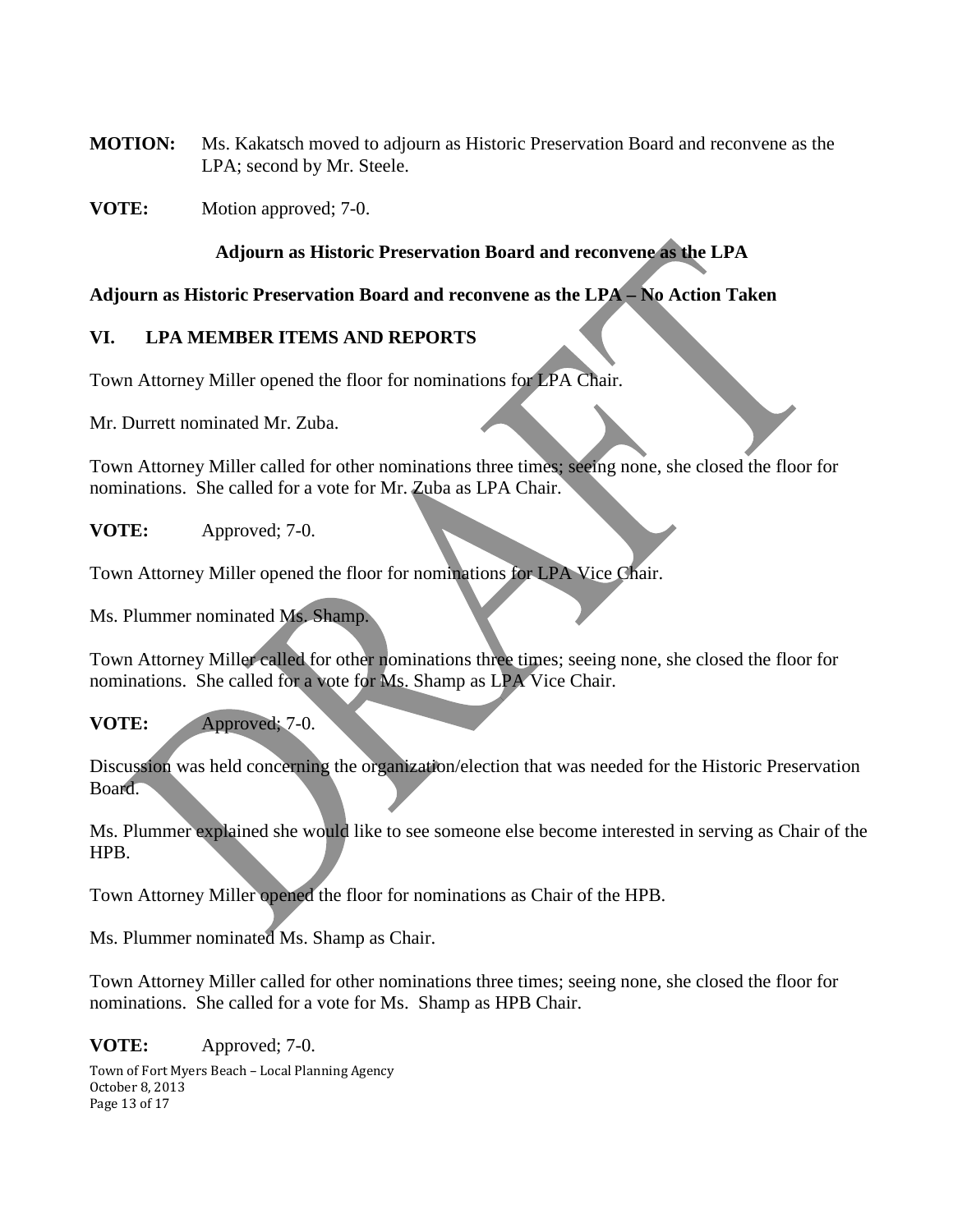- **MOTION:** Ms. Kakatsch moved to adjourn as Historic Preservation Board and reconvene as the LPA; second by Mr. Steele.
- **VOTE:** Motion approved; 7-0.

## **Adjourn as Historic Preservation Board and reconvene as the LPA**

## **Adjourn as Historic Preservation Board and reconvene as the LPA – No Action Taken**

## **VI. LPA MEMBER ITEMS AND REPORTS**

Town Attorney Miller opened the floor for nominations for LPA Chair.

Mr. Durrett nominated Mr. Zuba.

Town Attorney Miller called for other nominations three times; seeing none, she closed the floor for nominations. She called for a vote for Mr. Zuba as LPA Chair.

**VOTE:** Approved; 7-0.

Town Attorney Miller opened the floor for nominations for LPA Vice Chair.

Ms. Plummer nominated Ms. Shamp.

Town Attorney Miller called for other nominations three times; seeing none, she closed the floor for nominations. She called for a vote for Ms. Shamp as LPA Vice Chair.

## **VOTE:** Approved; 7-0.

Discussion was held concerning the organization/election that was needed for the Historic Preservation Board.

Ms. Plummer explained she would like to see someone else become interested in serving as Chair of the HPB.

Town Attorney Miller opened the floor for nominations as Chair of the HPB.

Ms. Plummer nominated Ms. Shamp as Chair.

Town Attorney Miller called for other nominations three times; seeing none, she closed the floor for nominations. She called for a vote for Ms. Shamp as HPB Chair.

#### **VOTE:** Approved; 7-0.

Town of Fort Myers Beach – Local Planning Agency October 8, 2013 Page 13 of 17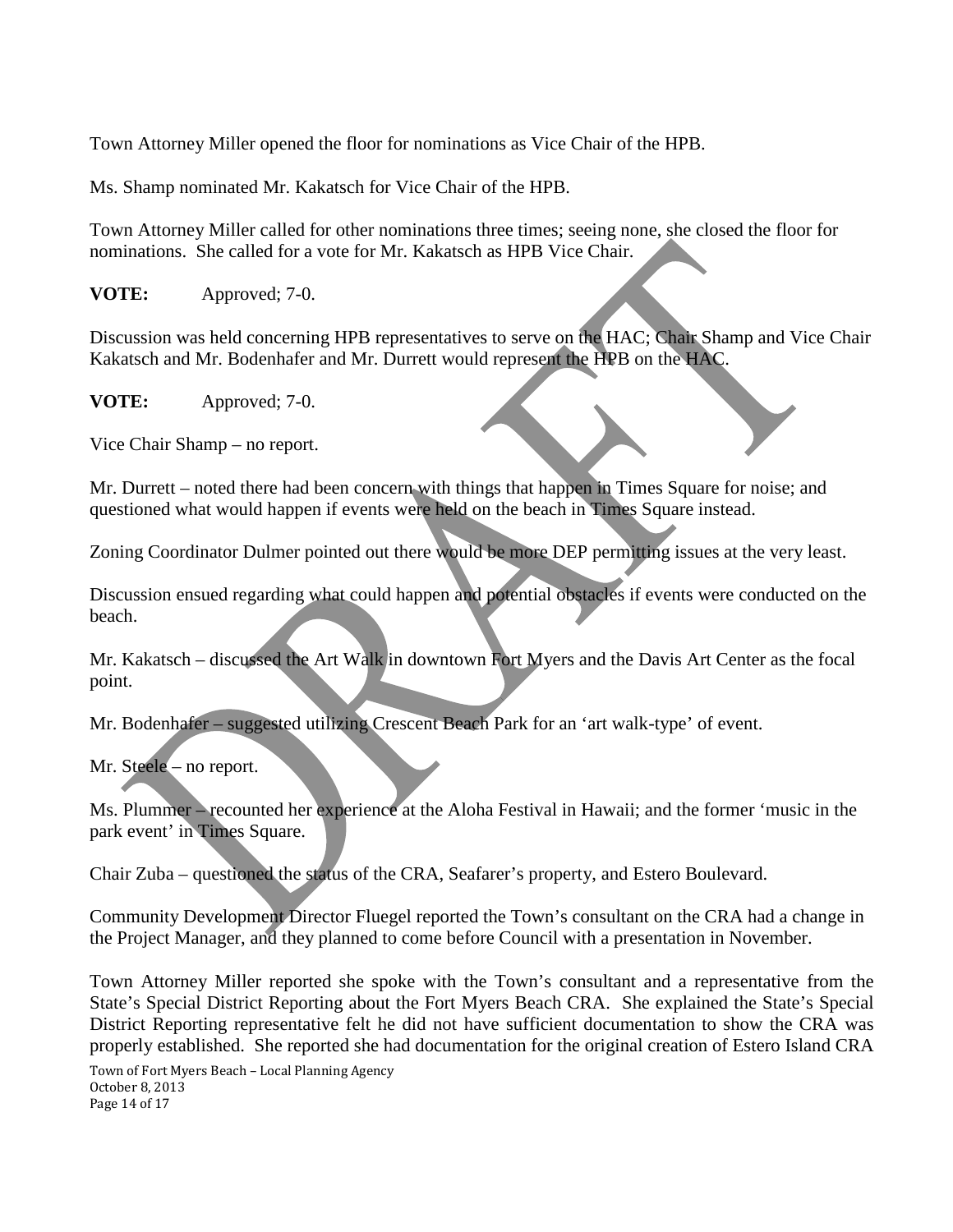Town Attorney Miller opened the floor for nominations as Vice Chair of the HPB.

Ms. Shamp nominated Mr. Kakatsch for Vice Chair of the HPB.

Town Attorney Miller called for other nominations three times; seeing none, she closed the floor for nominations. She called for a vote for Mr. Kakatsch as HPB Vice Chair.

**VOTE:** Approved; 7-0.

Discussion was held concerning HPB representatives to serve on the HAC; Chair Shamp and Vice Chair Kakatsch and Mr. Bodenhafer and Mr. Durrett would represent the HPB on the HAC.

**VOTE:** Approved; 7-0.

Vice Chair Shamp – no report.

Mr. Durrett – noted there had been concern with things that happen in Times Square for noise; and questioned what would happen if events were held on the beach in Times Square instead.

Zoning Coordinator Dulmer pointed out there would be more DEP permitting issues at the very least.

Discussion ensued regarding what could happen and potential obstacles if events were conducted on the beach.

Mr. Kakatsch – discussed the Art Walk in downtown Fort Myers and the Davis Art Center as the focal point.

Mr. Bodenhafer – suggested utilizing Crescent Beach Park for an 'art walk-type' of event.

Mr. Steele – no report.

Ms. Plummer – recounted her experience at the Aloha Festival in Hawaii; and the former 'music in the park event' in Times Square.

Chair Zuba – questioned the status of the CRA, Seafarer's property, and Estero Boulevard.

Community Development Director Fluegel reported the Town's consultant on the CRA had a change in the Project Manager, and they planned to come before Council with a presentation in November.

Town Attorney Miller reported she spoke with the Town's consultant and a representative from the State's Special District Reporting about the Fort Myers Beach CRA. She explained the State's Special District Reporting representative felt he did not have sufficient documentation to show the CRA was properly established. She reported she had documentation for the original creation of Estero Island CRA

Town of Fort Myers Beach – Local Planning Agency October 8, 2013 Page 14 of 17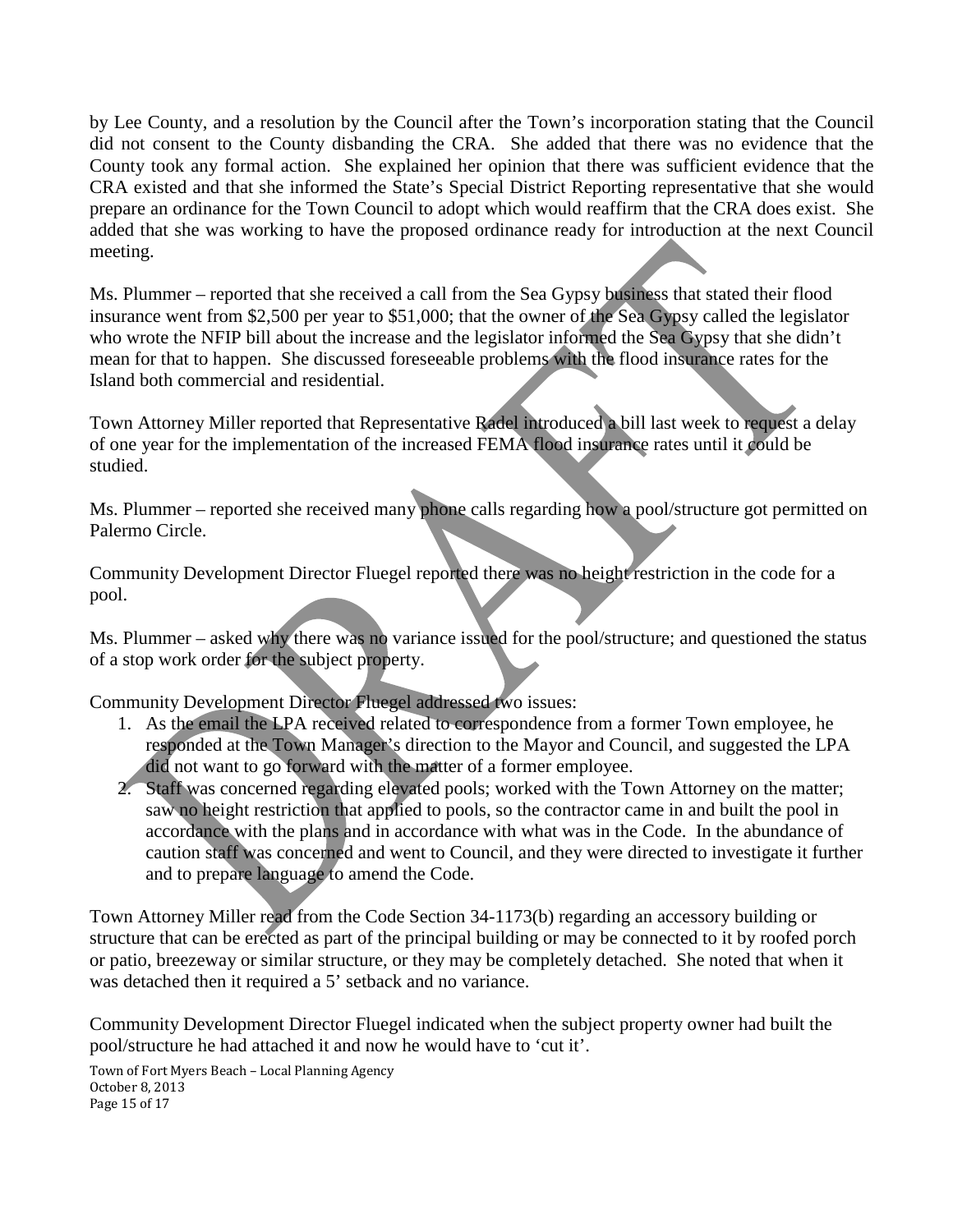by Lee County, and a resolution by the Council after the Town's incorporation stating that the Council did not consent to the County disbanding the CRA. She added that there was no evidence that the County took any formal action. She explained her opinion that there was sufficient evidence that the CRA existed and that she informed the State's Special District Reporting representative that she would prepare an ordinance for the Town Council to adopt which would reaffirm that the CRA does exist. She added that she was working to have the proposed ordinance ready for introduction at the next Council meeting.

Ms. Plummer – reported that she received a call from the Sea Gypsy business that stated their flood insurance went from \$2,500 per year to \$51,000; that the owner of the Sea Gypsy called the legislator who wrote the NFIP bill about the increase and the legislator informed the Sea Gypsy that she didn't mean for that to happen. She discussed foreseeable problems with the flood insurance rates for the Island both commercial and residential.

Town Attorney Miller reported that Representative Radel introduced a bill last week to request a delay of one year for the implementation of the increased FEMA flood insurance rates until it could be studied.

Ms. Plummer – reported she received many phone calls regarding how a pool/structure got permitted on Palermo Circle.

Community Development Director Fluegel reported there was no height restriction in the code for a pool.

Ms. Plummer – asked why there was no variance issued for the pool/structure; and questioned the status of a stop work order for the subject property.

Community Development Director Fluegel addressed two issues:

- 1. As the email the LPA received related to correspondence from a former Town employee, he responded at the Town Manager's direction to the Mayor and Council, and suggested the LPA did not want to go forward with the matter of a former employee.
- 2. Staff was concerned regarding elevated pools; worked with the Town Attorney on the matter; saw no height restriction that applied to pools, so the contractor came in and built the pool in accordance with the plans and in accordance with what was in the Code. In the abundance of caution staff was concerned and went to Council, and they were directed to investigate it further and to prepare language to amend the Code.

Town Attorney Miller read from the Code Section 34-1173(b) regarding an accessory building or structure that can be erected as part of the principal building or may be connected to it by roofed porch or patio, breezeway or similar structure, or they may be completely detached. She noted that when it was detached then it required a 5' setback and no variance.

Community Development Director Fluegel indicated when the subject property owner had built the pool/structure he had attached it and now he would have to 'cut it'.

Town of Fort Myers Beach – Local Planning Agency October 8, 2013 Page 15 of 17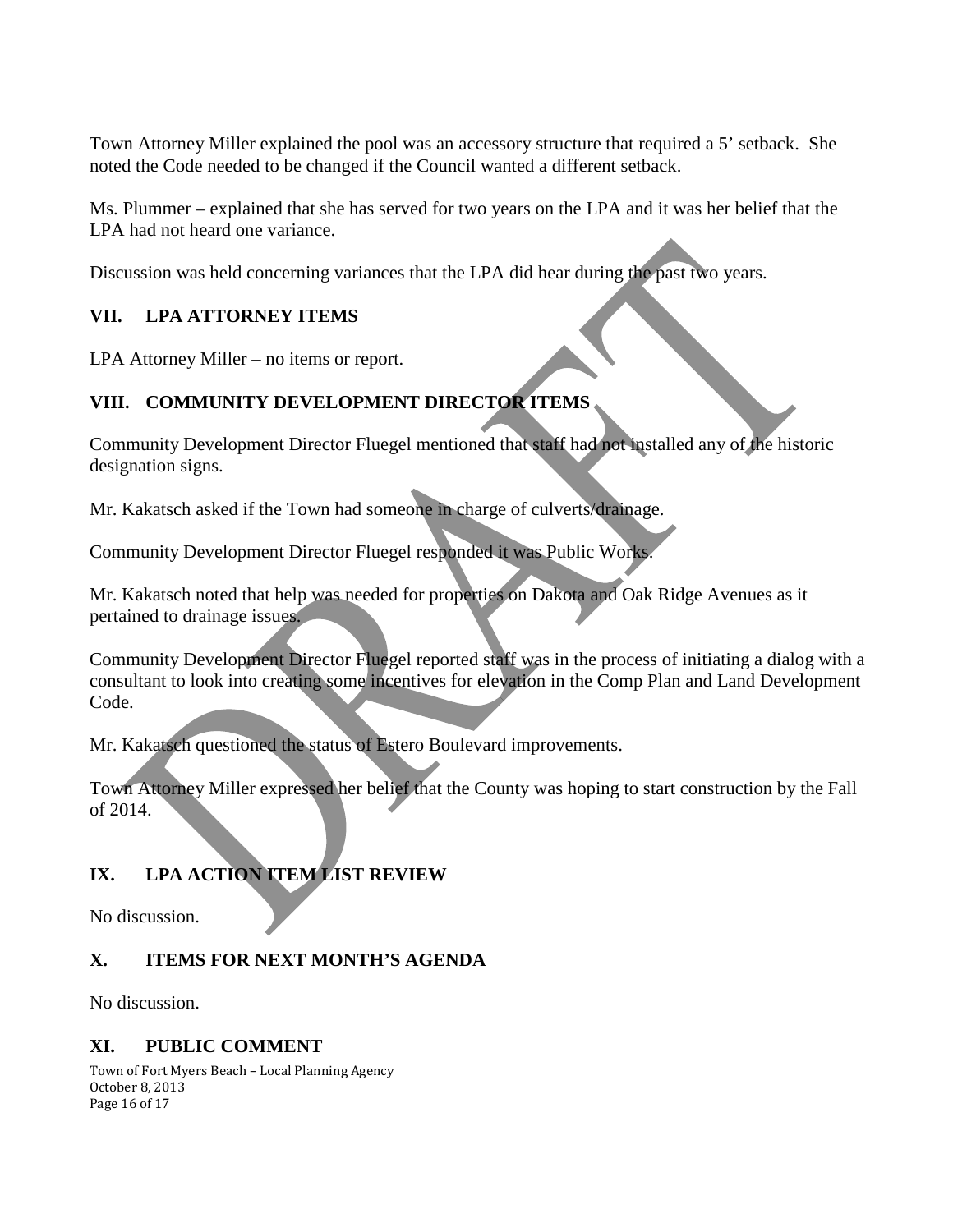Town Attorney Miller explained the pool was an accessory structure that required a 5' setback. She noted the Code needed to be changed if the Council wanted a different setback.

Ms. Plummer – explained that she has served for two years on the LPA and it was her belief that the LPA had not heard one variance.

Discussion was held concerning variances that the LPA did hear during the past two years.

# **VII. LPA ATTORNEY ITEMS**

LPA Attorney Miller – no items or report.

# **VIII. COMMUNITY DEVELOPMENT DIRECTOR ITEMS**

Community Development Director Fluegel mentioned that staff had not installed any of the historic designation signs.

Mr. Kakatsch asked if the Town had someone in charge of culverts/drainage.

Community Development Director Fluegel responded it was Public Works.

Mr. Kakatsch noted that help was needed for properties on Dakota and Oak Ridge Avenues as it pertained to drainage issues.

Community Development Director Fluegel reported staff was in the process of initiating a dialog with a consultant to look into creating some incentives for elevation in the Comp Plan and Land Development Code.

Mr. Kakatsch questioned the status of Estero Boulevard improvements.

Town Attorney Miller expressed her belief that the County was hoping to start construction by the Fall of 2014.

# **IX. LPA ACTION ITEM LIST REVIEW**

No discussion.

# **X. ITEMS FOR NEXT MONTH'S AGENDA**

No discussion.

## **XI. PUBLIC COMMENT**

Town of Fort Myers Beach – Local Planning Agency October 8, 2013 Page 16 of 17